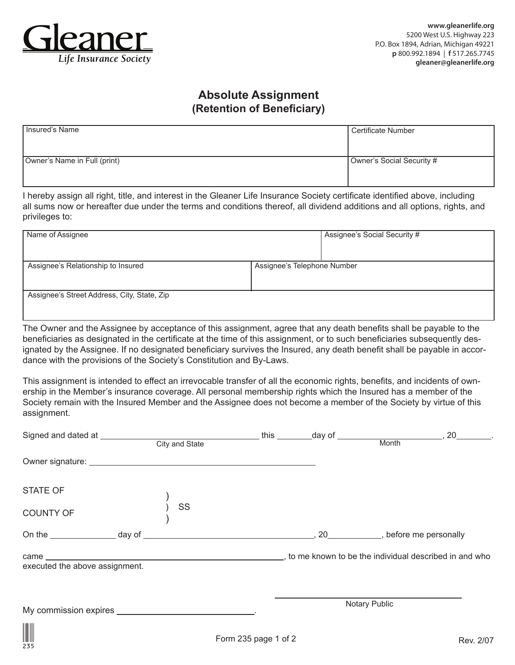

## **Absolute Assignment (Retention of Beneficiary)**

| I Insured's Name             | l Certificate Number      |
|------------------------------|---------------------------|
| Owner's Name in Full (print) | Owner's Social Security # |

I hereby assign all right, title, and interest in the Gleaner Life Insurance Society certificate identified above, including all sums now or hereafter due under the terms and conditions thereof, all dividend additions and all options, rights, and privileges to:

| Name of Assignee                            |                             | Assignee's Social Security # |  |
|---------------------------------------------|-----------------------------|------------------------------|--|
| Assignee's Relationship to Insured          | Assignee's Telephone Number |                              |  |
| Assignee's Street Address, City, State, Zip |                             |                              |  |

The Owner and the Assignee by acceptance of this assignment, agree that any death benefits shall be payable to the beneficiaries as designated in the certificate at the time of this assignment, or to such beneficiaries subsequently designated by the Assignee. If no designated beneficiary survives the Insured, any death benefit shall be payable in accordance with the provisions of the Society's Constitution and By-Laws.

This assignment is intended to effect an irrevocable transfer of all the economic rights, benefits, and incidents of ownership in the Member's insurance coverage. All personal membership rights which the Insured has a member of the Society remain with the Insured Member and the Assignee does not become a member of the Society by virtue of this assignment.

|                                | City and State |                      |               |  |           |
|--------------------------------|----------------|----------------------|---------------|--|-----------|
|                                |                |                      |               |  |           |
| <b>STATE OF</b>                |                |                      |               |  |           |
| <b>COUNTY OF</b>               | SS             |                      |               |  |           |
|                                |                |                      |               |  |           |
| executed the above assignment. |                |                      |               |  |           |
|                                |                |                      | Notary Public |  |           |
| $\frac{\sum_{235}}{235}$       |                | Form 235 page 1 of 2 |               |  | Rev. 2/07 |